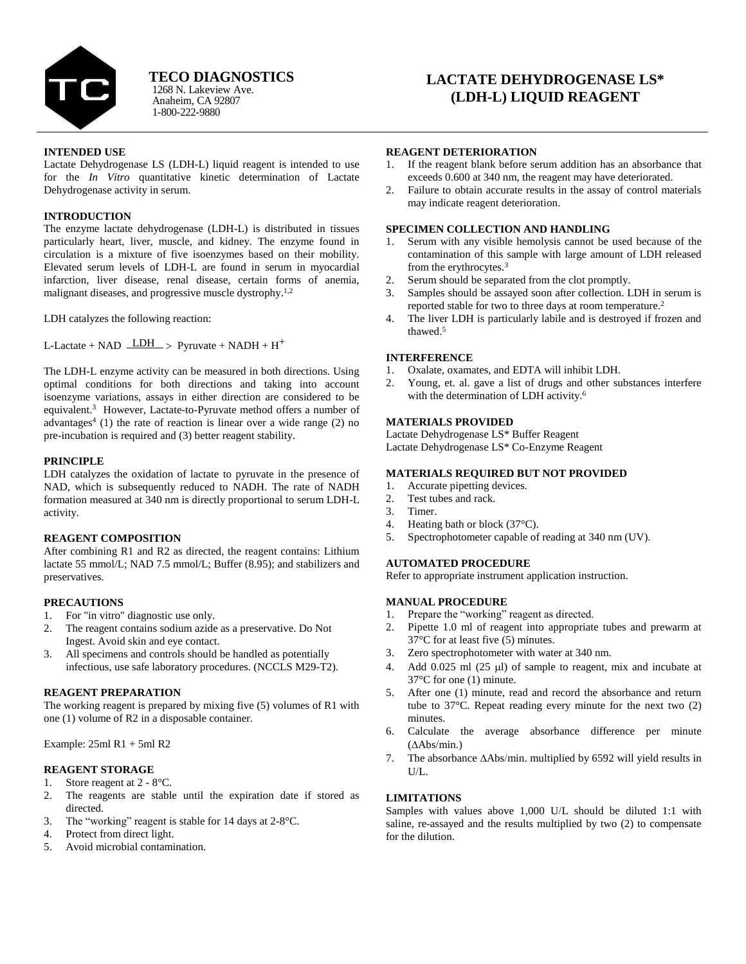

Anaheim, CA 92807 1-800-222-9880 1268 N. Lakeview Ave. **TECO DIAGNOSTICS**

# **LACTATE DEHYDROGENASE LS\* (LDH-L) LIQUID REAGENT**

## **INTENDED USE**

Lactate Dehydrogenase LS (LDH-L) liquid reagent is intended to use for the *In Vitro* quantitative kinetic determination of Lactate Dehydrogenase activity in serum.

# **INTRODUCTION**

The enzyme lactate dehydrogenase (LDH-L) is distributed in tissues particularly heart, liver, muscle, and kidney. The enzyme found in circulation is a mixture of five isoenzymes based on their mobility. Elevated serum levels of LDH-L are found in serum in myocardial infarction, liver disease, renal disease, certain forms of anemia, malignant diseases, and progressive muscle dystrophy.<sup>1,2</sup>

LDH catalyzes the following reaction:

L-Lactate + NAD  $\overline{\text{LDH}}$  > Pyruvate + NADH + H<sup>+</sup>

The LDH-L enzyme activity can be measured in both directions. Using optimal conditions for both directions and taking into account isoenzyme variations, assays in either direction are considered to be equivalent.<sup>3</sup> However, Lactate-to-Pyruvate method offers a number of advantages<sup>4</sup> (1) the rate of reaction is linear over a wide range (2) no pre-incubation is required and (3) better reagent stability.

## **PRINCIPLE**

LDH catalyzes the oxidation of lactate to pyruvate in the presence of NAD, which is subsequently reduced to NADH. The rate of NADH formation measured at 340 nm is directly proportional to serum LDH-L activity.

#### **REAGENT COMPOSITION**

After combining R1 and R2 as directed, the reagent contains: Lithium lactate 55 mmol/L; NAD 7.5 mmol/L; Buffer (8.95); and stabilizers and preservatives.

## **PRECAUTIONS**

- 1. For "in vitro" diagnostic use only.
- 2. The reagent contains sodium azide as a preservative. Do Not Ingest. Avoid skin and eye contact.
- 3. All specimens and controls should be handled as potentially infectious, use safe laboratory procedures. (NCCLS M29-T2).

#### **REAGENT PREPARATION**

The working reagent is prepared by mixing five (5) volumes of R1 with one (1) volume of R2 in a disposable container.

Example: 25ml R1 + 5ml R2

## **REAGENT STORAGE**

- 1. Store reagent at 2 8°C.
- 2. The reagents are stable until the expiration date if stored as directed.
- 3. The "working" reagent is stable for 14 days at 2-8°C.
- 4. Protect from direct light.
- 5. Avoid microbial contamination.

#### **REAGENT DETERIORATION**

- 1. If the reagent blank before serum addition has an absorbance that exceeds 0.600 at 340 nm, the reagent may have deteriorated.
- 2. Failure to obtain accurate results in the assay of control materials may indicate reagent deterioration.

#### **SPECIMEN COLLECTION AND HANDLING**

- 1. Serum with any visible hemolysis cannot be used because of the contamination of this sample with large amount of LDH released from the erythrocytes.<sup>3</sup>
- 2. Serum should be separated from the clot promptly.
- 3. Samples should be assayed soon after collection. LDH in serum is reported stable for two to three days at room temperature.<sup>2</sup>
- 4. The liver LDH is particularly labile and is destroyed if frozen and thawed. 5

## **INTERFERENCE**

- 1. Oxalate, oxamates, and EDTA will inhibit LDH.
- 2. Young, et. al. gave a list of drugs and other substances interfere with the determination of LDH activity.<sup>6</sup>

# **MATERIALS PROVIDED**

Lactate Dehydrogenase LS\* Buffer Reagent Lactate Dehydrogenase LS\* Co-Enzyme Reagent

## **MATERIALS REQUIRED BUT NOT PROVIDED**

- 1. Accurate pipetting devices.
- 2. Test tubes and rack.
- 3. Timer.
- 4. Heating bath or block (37°C).
- 5. Spectrophotometer capable of reading at 340 nm (UV).

# **AUTOMATED PROCEDURE**

Refer to appropriate instrument application instruction.

## **MANUAL PROCEDURE**

- 1. Prepare the "working" reagent as directed.
- 2. Pipette 1.0 ml of reagent into appropriate tubes and prewarm at 37°C for at least five (5) minutes.
- 3. Zero spectrophotometer with water at 340 nm.
- 4. Add  $0.025$  ml  $(25 \mu l)$  of sample to reagent, mix and incubate at 37°C for one (1) minute.
- 5. After one (1) minute, read and record the absorbance and return tube to 37°C. Repeat reading every minute for the next two (2) minutes.
- 6. Calculate the average absorbance difference per minute  $(AAbs/min.)$
- 7. The absorbance  $\Delta$ Abs/min. multiplied by 6592 will yield results in U/L.

## **LIMITATIONS**

Samples with values above 1,000 U/L should be diluted 1:1 with saline, re-assayed and the results multiplied by two (2) to compensate for the dilution.